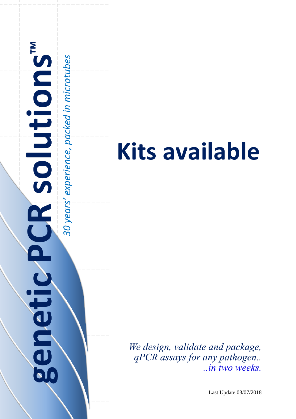

# **Kits available**

*We design, validate and package, qPCR assays for any pathogen.. ..in two weeks.*

Last Update 03/07/2018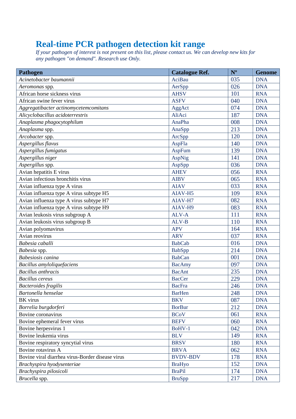#### **Real-time PCR pathogen detection kit range**

*If your pathogen of interest is not present on this list, please contact us. We can develop new kits for any pathogen "on demand". Research use Only.*

| Pathogen                                         | <b>Catalogue Ref.</b> | $N^{\rm o}$ | <b>Genome</b> |
|--------------------------------------------------|-----------------------|-------------|---------------|
| Acinetobacter baumannii                          | <b>AciBau</b>         | 035         | <b>DNA</b>    |
| Aeromonas spp.                                   | AerSpp                | 026         | <b>DNA</b>    |
| African horse sickness virus                     | <b>AHSV</b>           | 101         | <b>RNA</b>    |
| African swine fever virus                        | <b>ASFV</b>           | 040         | <b>DNA</b>    |
| Aggregatibacter actinomycetemcomitans            | AggAct                | 074         | <b>DNA</b>    |
| Alicyclobacillus acidoterrestris                 | AliAci                | 187         | <b>DNA</b>    |
| Anaplasma phagocytophilum                        | AnaPha                | 008         | <b>DNA</b>    |
| Anaplasma spp.                                   | AnaSpp                | 213         | <b>DNA</b>    |
| Arcobacter spp.                                  | ArcSpp                | 120         | <b>DNA</b>    |
| Aspergillus flavus                               | AspFla                | 140         | <b>DNA</b>    |
| Aspergillus fumigatus                            | <b>AspFum</b>         | 139         | <b>DNA</b>    |
| Aspergillus niger                                | <b>AspNig</b>         | 141         | <b>DNA</b>    |
| Aspergillus spp.                                 | AspSpp                | 036         | <b>DNA</b>    |
| Avian hepatitis E virus                          | <b>AHEV</b>           | 056         | <b>RNA</b>    |
| Avian infectious bronchitis virus                | <b>AIBV</b>           | 065         | <b>RNA</b>    |
| Avian influenza type A virus                     | <b>AIAV</b>           | 033         | <b>RNA</b>    |
| Avian influenza type A virus subtype H5          | AIAV-H5               | 109         | <b>RNA</b>    |
| Avian influenza type A virus subtype H7          | AIAV-H7               | 082         | <b>RNA</b>    |
| Avian influenza type A virus subtype H9          | AIAV-H9               | 083         | <b>RNA</b>    |
| Avian leukosis virus subgroup A                  | ALV-A                 | 111         | <b>RNA</b>    |
| Avian leukosis virus subgroup B                  | $ALV-B$               | 110         | <b>RNA</b>    |
| Avian polyomavirus                               | <b>APV</b>            | 164         | <b>RNA</b>    |
| Avian reovirus                                   | <b>ARV</b>            | 037         | <b>RNA</b>    |
| Babesia caballi                                  | <b>BabCab</b>         | 016         | <b>DNA</b>    |
| Babesia spp.                                     | <b>BabSpp</b>         | 214         | <b>DNA</b>    |
| Babesiosis canina                                | <b>BabCan</b>         | 001         | <b>DNA</b>    |
| Bacillus amyloliquefaciens                       | <b>BacAmy</b>         | 097         | <b>DNA</b>    |
| <b>Bacillus</b> anthracis                        | <b>BacAnt</b>         | 235         | <b>DNA</b>    |
| <b>Bacillus</b> cereus                           | <b>BacCer</b>         | 229         | <b>DNA</b>    |
| <b>Bacteroides</b> fragilis                      | <b>BacFra</b>         | 246         | <b>DNA</b>    |
| Bartonella henselae                              | <b>BarHen</b>         | 248         | <b>DNA</b>    |
| BK virus                                         | <b>BKV</b>            | 087         | <b>DNA</b>    |
| Borrelia burgdorferi                             | <b>BorBur</b>         | 212         | <b>DNA</b>    |
| Bovine coronavirus                               | <b>BCoV</b>           | 061         | <b>RNA</b>    |
| Bovine ephemeral fever virus                     | <b>BEFV</b>           | 060         | <b>RNA</b>    |
| Bovine herpesvirus 1                             | BoHV-1                | 042         | <b>DNA</b>    |
| Bovine leukemia virus                            | <b>BLV</b>            | 149         | <b>RNA</b>    |
| Bovine respiratory syncytial virus               | <b>BRSV</b>           | 180         | <b>RNA</b>    |
| Bovine rotavirus A                               | <b>BRVA</b>           | 062         | <b>RNA</b>    |
| Bovine viral diarrhea virus-Border disease virus | <b>BVDV-BDV</b>       | 178         | <b>RNA</b>    |
| Brachyspira hyodysenteriae                       | <b>BraHyo</b>         | 152         | <b>DNA</b>    |
| Brachyspira pilosicoli                           | <b>BraPil</b>         | 174         | <b>DNA</b>    |
| Brucella spp.                                    | <b>BruSpp</b>         | 217         | <b>DNA</b>    |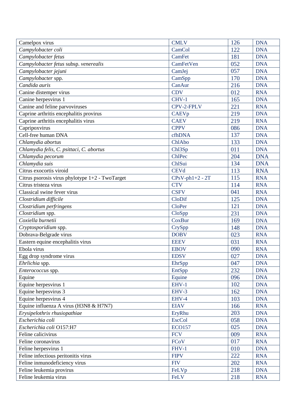| Camelpox virus                                  | <b>CMLV</b>         | 126 | <b>DNA</b> |
|-------------------------------------------------|---------------------|-----|------------|
| Campylobacter coli                              | CamCol              | 122 | <b>DNA</b> |
| Campylobacter fetus                             | <b>CamFet</b>       | 181 | <b>DNA</b> |
| Campylobacter fetus subsp. venerealis           | CamFetVen           | 052 | <b>DNA</b> |
| Campylobacter jejuni                            | CamJej              | 057 | <b>DNA</b> |
| Campylobacter spp.                              | CamSpp              | 170 | <b>DNA</b> |
| Candida auris                                   | CanAur              | 216 | <b>DNA</b> |
| Canine distemper virus                          | <b>CDV</b>          | 012 | <b>RNA</b> |
| Canine herpesvirus 1                            | CHV-1               | 165 | <b>DNA</b> |
| Canine and feline parvoviruses                  | CPV-2-FPLV          | 221 | <b>RNA</b> |
| Caprine arthritis encephalitis provirus         | <b>CAEVp</b>        | 219 | <b>DNA</b> |
| Caprine arthritis encephalitis virus            | <b>CAEV</b>         | 219 | <b>RNA</b> |
| Capripoxvirus                                   | <b>CPPV</b>         | 086 | <b>DNA</b> |
| Cell-free human DNA                             | cfhDNA              | 137 | <b>DNA</b> |
| Chlamydia abortus                               | ChlAbo              | 133 | <b>DNA</b> |
| Chlamydia felis, C. psittaci, C. abortus        | Ch <sub>13</sub> Sp | 011 | <b>DNA</b> |
| Chlamydia pecorum                               | ChlPec              | 204 | <b>DNA</b> |
| Chlamydia suis                                  | ChlSui              | 134 | <b>DNA</b> |
| Citrus exocortis viroid                         | <b>CEVd</b>         | 113 | <b>RNA</b> |
| Citrus psorosis virus phylotype 1+2 - TwoTarget | $CPsV-ph1+2 - 2T$   | 115 | <b>RNA</b> |
| Citrus tristeza virus                           | <b>CTV</b>          | 114 | <b>RNA</b> |
| Classical swine fever virus                     | <b>CSFV</b>         | 041 | <b>RNA</b> |
| Clostridium difficile                           | CloDif              | 125 | <b>DNA</b> |
| Clostridium perfringens                         | <b>CloPer</b>       | 121 | <b>DNA</b> |
| Clostridium spp.                                | CloSpp              | 231 | <b>DNA</b> |
| Coxiella burnetii                               | <b>CoxBur</b>       | 169 | <b>DNA</b> |
| Cryptosporidium spp.                            | CrySpp              | 148 | <b>DNA</b> |
| Dobrava-Belgrade virus                          | <b>DOBV</b>         | 023 | <b>RNA</b> |
| Eastern equine encephalitis virus               | <b>EEEV</b>         | 031 | <b>RNA</b> |
| Ebola virus                                     | <b>EBOV</b>         | 090 | <b>RNA</b> |
| Egg drop syndrome virus                         | <b>EDSV</b>         | 027 | <b>DNA</b> |
| Ehrlichia spp.                                  | EhrSpp              | 047 | <b>DNA</b> |
| Enterococcus spp.                               | EntSpp              | 232 | <b>DNA</b> |
| Equine                                          | Equine              | 096 | <b>DNA</b> |
| Equine herpesvirus 1                            | EHV-1               | 102 | <b>DNA</b> |
| Equine herpesvirus 3                            | EHV-3               | 162 | <b>DNA</b> |
| Equine herpesvirus 4                            | EHV-4               | 103 | <b>DNA</b> |
| Equine influenza A virus (H3N8 & H7N7)          | <b>EIAV</b>         | 166 | <b>RNA</b> |
| Erysipelothrix rhusiopathiae                    | EryRhu              | 203 | <b>DNA</b> |
| Escherichia coli                                | <b>EscCol</b>       | 058 | <b>DNA</b> |
| Escherichia coli O157:H7                        | <b>ECO157</b>       | 025 | <b>DNA</b> |
| Feline calicivirus                              | <b>FCV</b>          | 009 | <b>RNA</b> |
| Feline coronavirus                              | FCoV                | 017 | <b>RNA</b> |
| Feline herpesvirus 1                            | FHV-1               | 010 | <b>DNA</b> |
| Feline infectious peritonitis virus             | <b>FIPV</b>         | 222 | <b>RNA</b> |
| Feline inmunodeficiency virus                   | <b>FIV</b>          | 202 | <b>RNA</b> |
| Feline leukemia provirus                        | FeLVp               | 218 | <b>DNA</b> |
| Feline leukemia virus                           | FeLV                | 218 | <b>RNA</b> |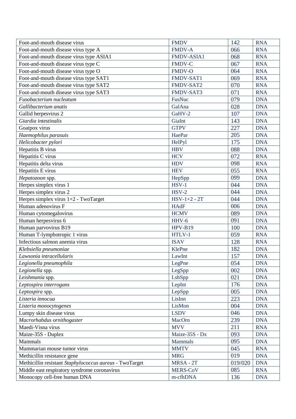| Foot-and-mouth disease virus                            | <b>FMDV</b>       | 142     | <b>RNA</b> |
|---------------------------------------------------------|-------------------|---------|------------|
| Foot-and-mouth disease virus type A                     | <b>FMDV-A</b>     | 066     | <b>RNA</b> |
| Foot-and-mouth disease virus type ASIA1                 | <b>FMDV-ASIA1</b> | 068     | <b>RNA</b> |
| Foot-and-mouth disease virus type C                     | <b>FMDV-C</b>     | 067     | <b>RNA</b> |
| Foot-and-mouth disease virus type O                     | <b>FMDV-O</b>     | 064     | <b>RNA</b> |
| Foot-and-mouth disease virus type SAT1                  | FMDV-SAT1         | 069     | <b>RNA</b> |
| Foot-and-mouth disease virus type SAT2                  | FMDV-SAT2         | 070     | <b>RNA</b> |
| Foot-and-mouth disease virus type SAT3                  | FMDV-SAT3         | 071     | <b>RNA</b> |
| Fusobacterium nucleatum                                 | <b>FusNuc</b>     | 079     | <b>DNA</b> |
| Gallibacterium anatis                                   | GalAna            | 028     | <b>DNA</b> |
| Gallid herpesvirus 2                                    | GaHV-2            | 107     | <b>DNA</b> |
| Giardia intestinalis                                    | GiaInt            | 143     | <b>DNA</b> |
| Goatpox virus                                           | <b>GTPV</b>       | 227     | <b>DNA</b> |
| Haemophilus parasuis                                    | HaePar            | 205     | <b>DNA</b> |
| Helicobacter pylori                                     | HelPyl            | 175     | <b>DNA</b> |
| Hepatitis B virus                                       | <b>HBV</b>        | 088     | <b>DNA</b> |
| Hepatitis C virus                                       | <b>HCV</b>        | 072     | <b>RNA</b> |
| Hepatitis delta virus                                   | <b>HDV</b>        | 098     | <b>RNA</b> |
| Hepatitis E virus                                       | <b>HEV</b>        | 055     | <b>RNA</b> |
| Hepatozoon spp.                                         | HepSpp            | 099     | <b>DNA</b> |
| Herpes simplex virus 1                                  | $HSV-1$           | 044     | <b>DNA</b> |
| Herpes simplex virus 2                                  | $HSV-2$           | 044     | <b>DNA</b> |
| Herpes simplex virus 1+2 - TwoTarget                    | $HSV-1+2 - 2T$    | 044     | <b>DNA</b> |
| Human adenovirus F                                      | <b>HAdF</b>       | 006     | <b>DNA</b> |
| Human cytomegalovirus                                   | <b>HCMV</b>       | 089     | <b>DNA</b> |
| Human herpesvirus 6                                     | HHV-6             | 091     | <b>DNA</b> |
| Human parvovirus B19                                    | $HPV-B19$         | 100     | <b>DNA</b> |
| Human T-lymphotropic 1 virus                            | HTLV-1            | 059     | <b>RNA</b> |
| Infectious salmon anemia virus                          | <b>ISAV</b>       | 128     | <b>RNA</b> |
| Klebsiella pneumoniae                                   | KlePne            | 182     | <b>DNA</b> |
| Lawsonia intracellularis                                | LawInt            | 157     | <b>DNA</b> |
| Legionella pneumophila                                  | LegPne            | 054     | <b>DNA</b> |
| Legionella spp.                                         | LegSpp            | 002     | <b>DNA</b> |
| Leishmania spp.                                         | LshSpp            | 021     | <b>DNA</b> |
| Leptospira interrogans                                  | LepInt            | 176     | <b>DNA</b> |
| Leptospira spp.                                         | LepSpp            | 005     | <b>DNA</b> |
| Listeria innocua                                        | LisInn            | 223     | <b>DNA</b> |
| Listeria monocytogenes                                  | LisMon            | 004     | <b>DNA</b> |
| Lumpy skin disease virus                                | <b>LSDV</b>       | 046     | <b>DNA</b> |
| Macrorhabdus ornithogaster                              | MacOrn            | 239     | <b>DNA</b> |
| Maedi-Visna virus                                       | <b>MVV</b>        | 211     | <b>RNA</b> |
| Maize-35S - Duplex                                      | Maize-35S - Dx    | 093     | <b>DNA</b> |
| Mammals                                                 | <b>Mammals</b>    | 095     | <b>DNA</b> |
| Mammarian mouse tumor virus                             | <b>MMTV</b>       | 045     | <b>RNA</b> |
| Methicillin resistance gene                             | <b>MRG</b>        | 019     | <b>DNA</b> |
| Methicillin resistant Staphylococcus aureus - TwoTarget | MRSA - 2T         | 019/020 | <b>DNA</b> |
| Middle east respiratory syndrome coronavirus            | MERS-CoV          | 085     | <b>RNA</b> |
| Monocopy cell-free human DNA                            | m-cfhDNA          | 136     | <b>DNA</b> |
|                                                         |                   |         |            |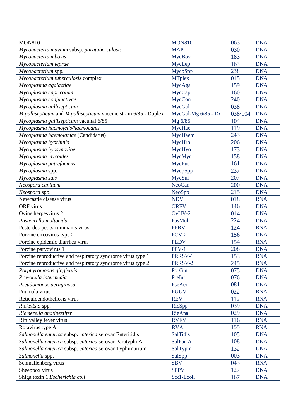| <b>MAP</b><br>030<br><b>DNA</b><br>Mycobacterium avium subsp. paratuberculosis<br>Mycobacterium bovis<br>183<br><b>MycBov</b><br><b>DNA</b><br>Mycobacterium leprae<br>163<br><b>DNA</b><br>MycLep<br>238<br><b>DNA</b><br>Mycobacterium spp.<br>MycbSpp<br>Mycobacterium tuberculosis complex<br><b>MTplex</b><br>015<br><b>DNA</b><br>Mycoplasma agalactiae<br>MycAga<br>159<br><b>DNA</b><br><b>DNA</b><br>Mycoplasma capricolum<br>MycCap<br>160 |
|------------------------------------------------------------------------------------------------------------------------------------------------------------------------------------------------------------------------------------------------------------------------------------------------------------------------------------------------------------------------------------------------------------------------------------------------------|
|                                                                                                                                                                                                                                                                                                                                                                                                                                                      |
|                                                                                                                                                                                                                                                                                                                                                                                                                                                      |
|                                                                                                                                                                                                                                                                                                                                                                                                                                                      |
|                                                                                                                                                                                                                                                                                                                                                                                                                                                      |
|                                                                                                                                                                                                                                                                                                                                                                                                                                                      |
|                                                                                                                                                                                                                                                                                                                                                                                                                                                      |
|                                                                                                                                                                                                                                                                                                                                                                                                                                                      |
| Mycoplasma conjunctivae<br>MycCon<br>240<br><b>DNA</b>                                                                                                                                                                                                                                                                                                                                                                                               |
| MycGal<br><b>DNA</b><br>038<br>Mycoplasma gallisepticum                                                                                                                                                                                                                                                                                                                                                                                              |
| M.gallisepticum and M.gallisepticum vaccine strain 6/85 - Duplex<br>MycGal-Mg 6/85 - Dx<br>038/104<br><b>DNA</b>                                                                                                                                                                                                                                                                                                                                     |
| Mycoplasma gallisepticum vacunal 6/85<br>Mg 6/85<br>104<br><b>DNA</b>                                                                                                                                                                                                                                                                                                                                                                                |
| 119<br>Mycoplasma haemofelis/haemocanis<br>MycHae<br><b>DNA</b>                                                                                                                                                                                                                                                                                                                                                                                      |
| 243<br>Mycoplasma haemolamae (Candidatus)<br>MycHaem<br><b>DNA</b>                                                                                                                                                                                                                                                                                                                                                                                   |
| MycHrh<br>Mycoplasma hyorhinis<br>206<br><b>DNA</b>                                                                                                                                                                                                                                                                                                                                                                                                  |
| MycHyo<br>Mycoplasma hyosynoviae<br><b>DNA</b><br>173                                                                                                                                                                                                                                                                                                                                                                                                |
| <b>DNA</b><br>Mycoplasma mycoides<br>MycMyc<br>158                                                                                                                                                                                                                                                                                                                                                                                                   |
| <b>MycPut</b><br>Mycoplasma putrefaciens<br>161<br><b>DNA</b>                                                                                                                                                                                                                                                                                                                                                                                        |
| 237<br>Mycoplasma spp.<br>MycpSpp<br><b>DNA</b>                                                                                                                                                                                                                                                                                                                                                                                                      |
| Mycoplasma suis<br>MycSui<br>207<br><b>DNA</b>                                                                                                                                                                                                                                                                                                                                                                                                       |
| <b>NeoCan</b><br>Neospora caninum<br>200<br><b>DNA</b>                                                                                                                                                                                                                                                                                                                                                                                               |
| NeoSpp<br>215<br><b>DNA</b><br>Neospora spp.                                                                                                                                                                                                                                                                                                                                                                                                         |
| Newcastle disease virus<br><b>NDV</b><br><b>RNA</b><br>018                                                                                                                                                                                                                                                                                                                                                                                           |
| <b>ORF</b> virus<br><b>ORFV</b><br>146<br><b>DNA</b>                                                                                                                                                                                                                                                                                                                                                                                                 |
| Ovine herpesvirus 2<br>$OvHV-2$<br><b>DNA</b><br>014                                                                                                                                                                                                                                                                                                                                                                                                 |
| Pasteurella multocida<br>224<br>PasMul<br><b>DNA</b>                                                                                                                                                                                                                                                                                                                                                                                                 |
| Peste-des-petits-ruminants virus<br><b>PPRV</b><br>124<br><b>RNA</b>                                                                                                                                                                                                                                                                                                                                                                                 |
| $PCV-2$<br>156<br>Porcine circovirus type 2<br><b>DNA</b>                                                                                                                                                                                                                                                                                                                                                                                            |
| Porcine epidemic diarrhea virus<br><b>PEDV</b><br><b>RNA</b><br>154                                                                                                                                                                                                                                                                                                                                                                                  |
| Porcine parvovirus 1<br>$PPV-1$<br>208<br><b>DNA</b>                                                                                                                                                                                                                                                                                                                                                                                                 |
| Porcine reproductive and respiratory syndrome virus type 1<br>PRRSV-1<br>153<br><b>RNA</b>                                                                                                                                                                                                                                                                                                                                                           |
| Porcine reproductive and respiratory syndrome virus type 2<br>PRRSV-2<br>245<br><b>RNA</b>                                                                                                                                                                                                                                                                                                                                                           |
| PorGin<br>075<br><b>DNA</b><br>Porphyromonas gingivalis                                                                                                                                                                                                                                                                                                                                                                                              |
| Prevotella intermedia<br>PreInt<br>076<br><b>DNA</b>                                                                                                                                                                                                                                                                                                                                                                                                 |
| PseAer<br>081<br><b>DNA</b><br>Pseudomonas aeruginosa                                                                                                                                                                                                                                                                                                                                                                                                |
| <b>PUUV</b><br>Puumala virus<br>022<br><b>RNA</b>                                                                                                                                                                                                                                                                                                                                                                                                    |
| Reticuloendotheliosis virus<br><b>REV</b><br>112<br><b>RNA</b>                                                                                                                                                                                                                                                                                                                                                                                       |
| <b>DNA</b><br>RicSpp<br>039<br>Rickettsia spp.                                                                                                                                                                                                                                                                                                                                                                                                       |
| Riemerella anatipestifer<br>RieAna<br>029<br><b>DNA</b>                                                                                                                                                                                                                                                                                                                                                                                              |
| Rift valley fever virus<br><b>RVFV</b><br>116<br><b>RNA</b>                                                                                                                                                                                                                                                                                                                                                                                          |
| 155<br>Rotavirus type A<br><b>RVA</b><br><b>RNA</b>                                                                                                                                                                                                                                                                                                                                                                                                  |
| Salmonella enterica subsp. enterica serovar Enteritidis<br><b>SalTidis</b><br><b>DNA</b><br>105                                                                                                                                                                                                                                                                                                                                                      |
| 108<br>Salmonella enterica subsp. enterica serovar Paratyphi A<br>SalPar-A<br><b>DNA</b>                                                                                                                                                                                                                                                                                                                                                             |
| Salmonella enterica subsp. enterica serovar Typhimurium<br>132<br><b>DNA</b><br>SalTypm                                                                                                                                                                                                                                                                                                                                                              |
| Salmonella spp.<br>SalSpp<br>003<br><b>DNA</b>                                                                                                                                                                                                                                                                                                                                                                                                       |
| <b>SBV</b><br>Schmallenberg virus<br>043<br><b>RNA</b>                                                                                                                                                                                                                                                                                                                                                                                               |
| <b>SPPV</b><br>Sheeppox virus<br>127<br><b>DNA</b>                                                                                                                                                                                                                                                                                                                                                                                                   |
| Shiga toxin 1 Escherichia coli<br>Stx1-Ecoli<br>167<br><b>DNA</b>                                                                                                                                                                                                                                                                                                                                                                                    |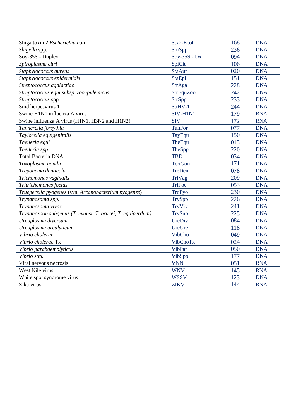| Shiga toxin 2 Escherichia coli                             | Stx2-Ecoli       | 168 | <b>DNA</b> |
|------------------------------------------------------------|------------------|-----|------------|
| Shigella spp.                                              | ShiSpp           | 236 | <b>DNA</b> |
| Soy-35S - Duplex                                           | $Sov-35S - Dx$   | 094 | <b>DNA</b> |
| Spiroplasma citri                                          | SpiCit           | 106 | <b>DNA</b> |
| Staphylococcus aureus                                      | <b>StaAur</b>    | 020 | <b>DNA</b> |
| Staphylococcus epidermidis                                 | StaEpi           | 151 | <b>DNA</b> |
| Streptococcus agalactiae                                   | StrAga           | 228 | <b>DNA</b> |
| Streptococcus equi subsp. zooepidemicus                    | <b>StrEquZoo</b> | 242 | <b>DNA</b> |
| Streptococcus spp.                                         | <b>StrSpp</b>    | 233 | <b>DNA</b> |
| Suid herpesvirus 1                                         | SuHV-1           | 244 | <b>DNA</b> |
| Swine H1N1 influenza A virus                               | SIV-H1N1         | 179 | <b>RNA</b> |
| Swine influenza A virus (H1N1, H3N2 and H1N2)              | <b>SIV</b>       | 172 | <b>RNA</b> |
| Tannerella forsythia                                       | <b>TanFor</b>    | 077 | <b>DNA</b> |
| Taylorella equigenitalis                                   | TayEqu           | 150 | <b>DNA</b> |
| Theileria equi                                             | TheEqu           | 013 | <b>DNA</b> |
| Theileria spp.                                             | TheSpp           | 220 | <b>DNA</b> |
| <b>Total Bacteria DNA</b>                                  | <b>TBD</b>       | 034 | <b>DNA</b> |
| Toxoplasma gondii                                          | <b>ToxGon</b>    | 171 | <b>DNA</b> |
| Treponema denticola                                        | TreDen           | 078 | <b>DNA</b> |
| Trichomonas vaginalis                                      | TriVag           | 209 | <b>DNA</b> |
| Tritrichomonas foetus                                      | <b>TriFoe</b>    | 053 | <b>DNA</b> |
| Trueperella pyogenes (syn. Arcanobacterium pyogenes)       | <b>TruPyo</b>    | 230 | <b>DNA</b> |
| Trypanosoma spp.                                           | <b>TrySpp</b>    | 226 | <b>DNA</b> |
| Trypanosoma vivax                                          | TryViv           | 241 | <b>DNA</b> |
| Trypanozoon subgenus (T. evansi, T. brucei, T. equiperdum) | TrySub           | 225 | <b>DNA</b> |
| Ureaplasma diversum                                        | UreDiv           | 084 | <b>DNA</b> |
| Ureaplasma urealyticum                                     | UreUre           | 118 | <b>DNA</b> |
| Vibrio cholerae                                            | VibCho           | 049 | <b>DNA</b> |
| Vibrio cholerae Tx                                         | <b>VibChoTx</b>  | 024 | <b>DNA</b> |
| Vibrio parahaemolyticus                                    | <b>VibPar</b>    | 050 | <b>DNA</b> |
| Vibrio spp.                                                | VibSpp           | 177 | <b>DNA</b> |
| Viral nervous necrosis                                     | <b>VNN</b>       | 051 | <b>RNA</b> |
| West Nile virus                                            | <b>WNV</b>       | 145 | <b>RNA</b> |
| White spot syndrome virus                                  | <b>WSSV</b>      | 123 | <b>DNA</b> |
| Zika virus                                                 | <b>ZIKV</b>      | 144 | <b>RNA</b> |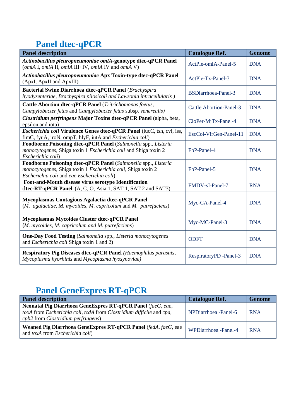## **Panel dtec-qPCR**

| <b>Panel description</b>                                                                                                                                                     | <b>Catalogue Ref.</b>          | <b>Genome</b> |
|------------------------------------------------------------------------------------------------------------------------------------------------------------------------------|--------------------------------|---------------|
| Actinobacillus pleuropneumoniae omlA-genotype dtec-qPCR Panel<br>(omlA I, omlA II, omlA III+IV, omlA IV and omlA V)                                                          | ActPle-omlA-Panel-5            | <b>DNA</b>    |
| Actinobacillus pleuropneumoniae Apx Toxin-type dtec-qPCR Panel<br>(ApxI, ApxII and ApxIII)                                                                                   | ActPle-Tx-Panel-3              | <b>DNA</b>    |
| <b>Bacterial Swine Diarrhoea dtec-qPCR Panel (Brachyspira</b><br>hyodysenteriae, Brachyspira pilosicoli and Lawsonia intracellularis)                                        | <b>BSDiarrhoea-Panel-3</b>     | <b>DNA</b>    |
| Cattle Abortion dtec-qPCR Panel (Tritrichomonas foetus,<br>Campylobacter fetus and Campylobacter fetus subsp. venerealis)                                                    | <b>Cattle Abortion-Panel-3</b> | <b>DNA</b>    |
| Clostridium perfringens Major Toxins dtec-qPCR Panel (alpha, beta,<br>epsilon and iota)                                                                                      | CloPer-MjTx-Panel-4            | <b>DNA</b>    |
| Escherichia coli Virulence Genes dtec-qPCR Panel (iucC, tsh, cvi, iss,<br>fimC, fyuA, iroN, ompT, hlyF, iutA and Escherichia coli)                                           | EscCol-VirGen-Panel-11         | <b>DNA</b>    |
| Foodborne Poisoning dtec-qPCR Panel (Salmonella spp., Listeria<br>monocytogenes, Shiga toxin 1 Escherichia coli and Shiga toxin 2<br>Escherichia coli)                       | FbP-Panel-4                    | <b>DNA</b>    |
| Foodborne Poisoning dtec-qPCR Panel (Salmonella spp., Listeria<br>monocytogenes, Shiga toxin 1 Escherichia coli, Shiga toxin 2<br>Escherichia coli and eae Escherichia coli) | FbP-Panel-5                    | <b>DNA</b>    |
| Foot-and-Mouth disease virus serotype Identification<br>dtec-RT-qPCR Panel (A, C, O, Asia 1, SAT 1, SAT 2 and SAT3)                                                          | FMDV-sI-Panel-7                | <b>RNA</b>    |
| Mycoplasmas Contagious Agalactia dtec-qPCR Panel<br>(M. agalactiae, M. mycoides, M. capricolum and M. putrefaciens)                                                          | Myc-CA-Panel-4                 | <b>DNA</b>    |
| <b>Mycoplasmas Mycoides Cluster dtec-qPCR Panel</b><br>(M. mycoides, M. capricolum and M. putrefaciens)                                                                      | Myc-MC-Panel-3                 | <b>DNA</b>    |
| <b>One-Day Food Testing</b> (Salmonella spp., Listeria monocytogenes<br>and <i>Escherichia coli</i> Shiga toxin 1 and 2)                                                     | <b>ODFT</b>                    | <b>DNA</b>    |
| Respiratory Pig Diseases dtec-qPCR Panel (Haemophilus parasuis,<br>Mycoplasma hyorhinis and Mycoplasma hyosynoviae)                                                          | RespiratoryPD -Panel-3         | <b>DNA</b>    |

#### **Panel GeneExpres RT-qPCR**

| <b>Panel description</b>                                                                                                                                                  | <b>Catalogue Ref.</b> | Genome     |
|---------------------------------------------------------------------------------------------------------------------------------------------------------------------------|-----------------------|------------|
| Neonatal Pig Diarrhoea GeneExpres RT-qPCR Panel (faeG, eae,<br>toxA from Escherichia coli, tcdA from Clostridium difficile and cpa,<br>cpb2 from Clostridium perfringens) | NPDiarrhoea - Panel-6 | <b>RNA</b> |
| Weaned Pig Diarrhoea GeneExpres RT-qPCR Panel (fedA, faeG, eae<br>and toxA from <i>Escherichia coli</i> )                                                                 | WPDiarrhoea -Panel-4  | <b>RNA</b> |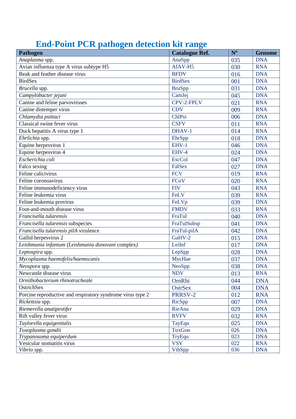### **End-Point PCR pathogen detection kit range**

| o<br>Pathogen                                              | o<br><b>Catalogue Ref.</b> | $N^{o}$ | <b>Genome</b> |
|------------------------------------------------------------|----------------------------|---------|---------------|
| Anaplasma spp.                                             | AnaSpp                     | 035     | <b>DNA</b>    |
| Avian influenza type A virus subtype H5                    | AIAV-H5                    | 030     | <b>RNA</b>    |
| Beak and feather disease virus                             | <b>BFDV</b>                | 016     | <b>DNA</b>    |
| <b>BirdSex</b>                                             | <b>BirdSex</b>             | 001     | <b>DNA</b>    |
| Brucella spp.                                              | <b>BruSpp</b>              | 031     | <b>DNA</b>    |
| Campylobacter jejuni                                       | CamJej                     | 045     | <b>DNA</b>    |
| Canine and feline parvoviruses                             | CPV-2-FPLV                 | 021     | <b>RNA</b>    |
| Canine distemper virus                                     | CDV                        | 009     | <b>RNA</b>    |
| Chlamydia psittaci                                         | ChlPsi                     | 006     | <b>DNA</b>    |
| Classical swine fever virus                                | <b>CSFV</b>                | 011     | <b>RNA</b>    |
| Duck hepatitis A virus type 1                              | DHAV-1                     | 014     | <b>RNA</b>    |
| Ehrlichia spp.                                             | EhrSpp                     | 018     | <b>DNA</b>    |
| Equine herpesvirus 1                                       | $EHV-1$                    | 046     | <b>DNA</b>    |
| Equine herpesvirus 4                                       | EHV-4                      | 024     | <b>DNA</b>    |
| Escherichia coli                                           | <b>EscCol</b>              | 047     | <b>DNA</b>    |
| Falco sexing                                               | FalSex                     | 027     | <b>DNA</b>    |
| Feline calicivirus                                         | <b>FCV</b>                 | 019     | <b>RNA</b>    |
| Feline coronoavirus                                        | FCoV                       | 020     | <b>RNA</b>    |
| Feline immunodeficiency virus                              | <b>FIV</b>                 | 043     | <b>RNA</b>    |
| Feline leukemia virus                                      | <b>FeLV</b>                | 039     | <b>RNA</b>    |
| Feline leukemia provirus                                   | FeLVp                      | 039     | <b>DNA</b>    |
| Foot-and-mouth disease virus                               | <b>FMDV</b>                | 033     | <b>RNA</b>    |
| Francisella tularensis                                     | FraTul                     | 040     | <b>DNA</b>    |
| Francisella tularensis subspecies                          | FraTulSubsp                | 041     | <b>DNA</b>    |
| Francisella tularensis pilA virulence                      | FraTul-pilA                | 042     | <b>DNA</b>    |
| Gallid herpesvirus 2                                       | GaHV-2                     | 015     | <b>DNA</b>    |
| Leishmania infantum (Leishmania donovani complex)          | LeiInf                     | 017     | <b>DNA</b>    |
| Leptospira spp.                                            | LepSpp                     | 028     | <b>DNA</b>    |
| Mycoplasma haemofelis/haemocanis                           | MycHae                     | 037     | <b>DNA</b>    |
| Neospora spp.                                              | NeoSpp                     | 038     | <b>DNA</b>    |
| Newcastle disease virus                                    | <b>NDV</b>                 | 013     | <b>RNA</b>    |
| Ornithobacterium rhinotracheale                            | OrnRhi                     | 044     | <b>DNA</b>    |
| OstrichSex                                                 | <b>OstrSex</b>             | 004     | <b>DNA</b>    |
| Porcine reproductive and respiratory syndrome virus type 2 | PRRSV-2                    | 012     | <b>RNA</b>    |
| Rickettsia spp.                                            | RicSpp                     | 007     | <b>DNA</b>    |
| Riemerella anatipestifer                                   | RieAna                     | 029     | <b>DNA</b>    |
| Rift valley fever virus                                    | <b>RVFV</b>                | 032     | <b>RNA</b>    |
| Taylorella equigenitalis                                   | TayEqu                     | 025     | <b>DNA</b>    |
| Toxoplasma gondii                                          | <b>ToxGon</b>              | 026     | <b>DNA</b>    |
| Trypanosoma equiperdum                                     | <b>TryEqu</b>              | 023     | <b>DNA</b>    |
| Vesicular stomatitis virus                                 | <b>VSV</b>                 | 022     | <b>RNA</b>    |
| Vibrio spp.                                                | VibSpp                     | 036     | <b>DNA</b>    |